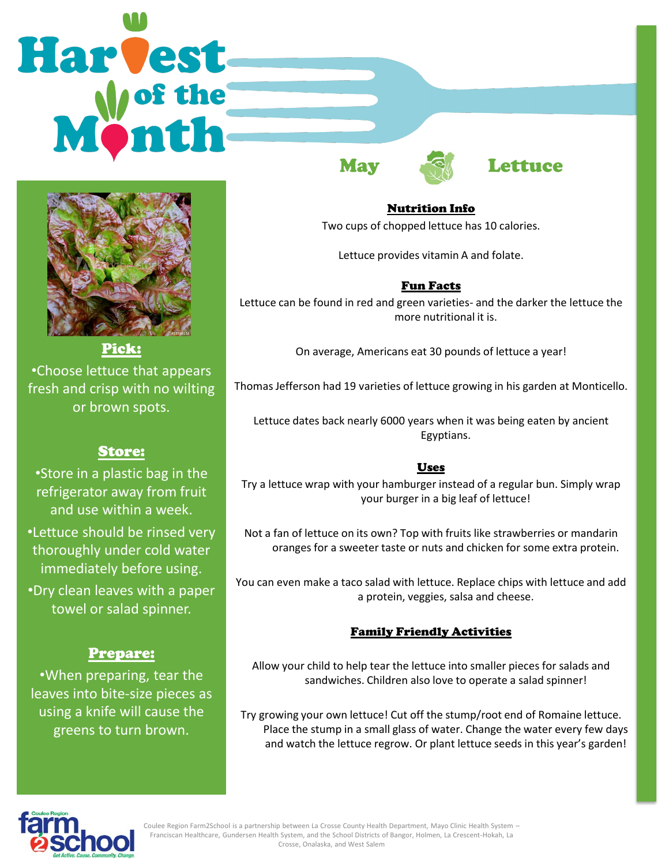# Harvest



Pick: •Choose lettuce that appears fresh and crisp with no wilting or brown spots.

## Store:

•Store in a plastic bag in the refrigerator away from fruit and use within a week. •Lettuce should be rinsed very thoroughly under cold water immediately before using. •Dry clean leaves with a paper towel or salad spinner.

### Prepare:

•When preparing, tear the leaves into bite-size pieces as using a knife will cause the greens to turn brown.

# May **May Lettuce**

Nutrition Info Two cups of chopped lettuce has 10 calories.

Lettuce provides vitamin A and folate.

### Fun Facts

Lettuce can be found in red and green varieties- and the darker the lettuce the more nutritional it is.

On average, Americans eat 30 pounds of lettuce a year!

Thomas Jefferson had 19 varieties of lettuce growing in his garden at Monticello.

Lettuce dates back nearly 6000 years when it was being eaten by ancient Egyptians.

### Uses

Try a lettuce wrap with your hamburger instead of a regular bun. Simply wrap your burger in a big leaf of lettuce!

Not a fan of lettuce on its own? Top with fruits like strawberries or mandarin oranges for a sweeter taste or nuts and chicken for some extra protein.

You can even make a taco salad with lettuce. Replace chips with lettuce and add a protein, veggies, salsa and cheese.

### Family Friendly Activities

Allow your child to help tear the lettuce into smaller pieces for salads and sandwiches. Children also love to operate a salad spinner!

Try growing your own lettuce! Cut off the stump/root end of Romaine lettuce. Place the stump in a small glass of water. Change the water every few days and watch the lettuce regrow. Or plant lettuce seeds in this year's garden!



Coulee Region Farm2School is a partnership between La Crosse County Health Department, Mayo Clinic Health System – Franciscan Healthcare, Gundersen Health System, and the School Districts of Bangor, Holmen, La Crescent-Hokah, La Crosse, Onalaska, and West Salem